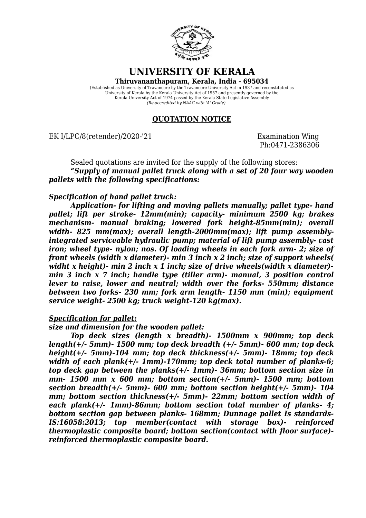

**UNIVERSITY OF KERALA**

**Thiruvananthapuram, Kerala, India - 695034**

(Established as University of Travancore by the Travancore University Act in 1937 and reconstituted as University of Kerala by the Kerala University Act of 1957 and presently governed by the Kerala University Act of 1974 passed by the Kerala State Legislative Assembly *(Re-accredited by NAAC with 'A' Grade)*

# **QUOTATION NOTICE**

EK I/LPC/8(retender)/2020-'21 Examination Wing

Ph:0471-2386306

Sealed quotations are invited for the supply of the following stores: *"Supply of manual pallet truck along with a set of 20 four way wooden pallets with the following specifications:*

# *Specification of hand pallet truck:*

*Application- for lifting and moving pallets manually; pallet type- hand pallet; lift per stroke- 12mm(min); capacity- minimum 2500 kg; brakes mechanism- manual braking; lowered fork height-85mm(min); overall* width- 825 mm(max); overall length-2000mm(max); lift pump assembly*integrated serviceable hydraulic pump; material of lift pump assembly- cast iron; wheel type- nylon; nos. Of loading wheels in each fork arm- 2; size of front wheels (width x diameter)- min 3 inch x 2 inch; size of support wheels( widht x height)- min 2 inch x 1 inch; size of drive wheels(width x diameter) min 3 inch x 7 inch; handle type (tiller arm)- manual, 3 position control lever to raise, lower and neutral; width over the forks- 550mm; distance between two forks- 230 mm; fork arm length- 1150 mm (min); equipment service weight- 2500 kg; truck weight-120 kg(max).*

## *Specification for pallet:*

## *size and dimension for the wooden pallet:*

*Top deck sizes (length x breadth)- 1500mm x 900mm; top deck length(+/- 5mm)- 1500 mm; top deck breadth (+/- 5mm)- 600 mm; top deck height(+/- 5mm)-104 mm; top deck thickness(+/- 5mm)- 18mm; top deck width of each plank(+/- 1mm)-170mm; top deck total number of planks-6; top deck gap between the planks(+/- 1mm)- 36mm; bottom section size in mm- 1500 mm x 600 mm; bottom section(+/- 5mm)- 1500 mm; bottom section breadth(+/- 5mm)- 600 mm; bottom section height(+/- 5mm)- 104 mm; bottom section thickness(+/- 5mm)- 22mm; bottom section width of each plank(+/- 1mm)-86mm; bottom section total number of planks- 4; bottom section gap between planks- 168mm; Dunnage pallet Is standards-IS:16058:2013; top member(contact with storage box)- reinforced thermoplastic composite board; bottom section(contact with floor surface) reinforced thermoplastic composite board.*